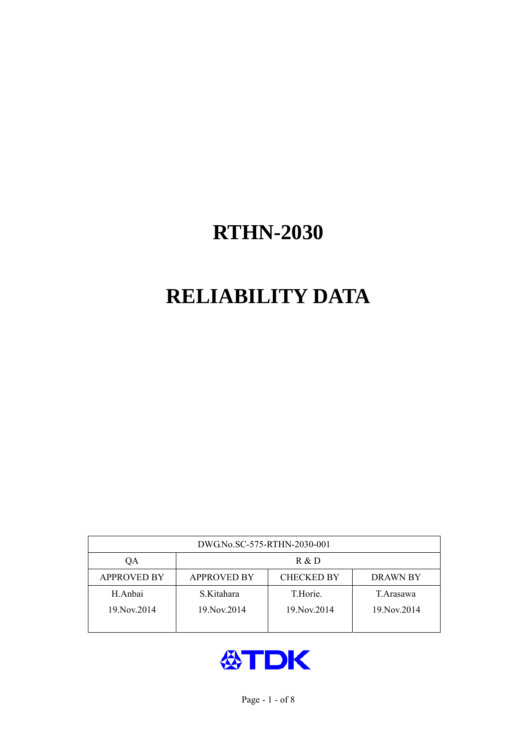# **RELIABILITY DATA**

| DWG.No.SC-575-RTHN-2030-001 |                                                     |               |             |  |  |  |  |
|-----------------------------|-----------------------------------------------------|---------------|-------------|--|--|--|--|
| OА                          | R & D                                               |               |             |  |  |  |  |
| <b>APPROVED BY</b>          | <b>CHECKED BY</b><br><b>APPROVED BY</b><br>DRAWN BY |               |             |  |  |  |  |
| H.Anbai                     | S.Kitahara                                          | T.Horie.      | T.Arasawa   |  |  |  |  |
| 19. Nov. 2014               | 19. Nov. 2014                                       | 19. Nov. 2014 | 19 Nov 2014 |  |  |  |  |
|                             |                                                     |               |             |  |  |  |  |

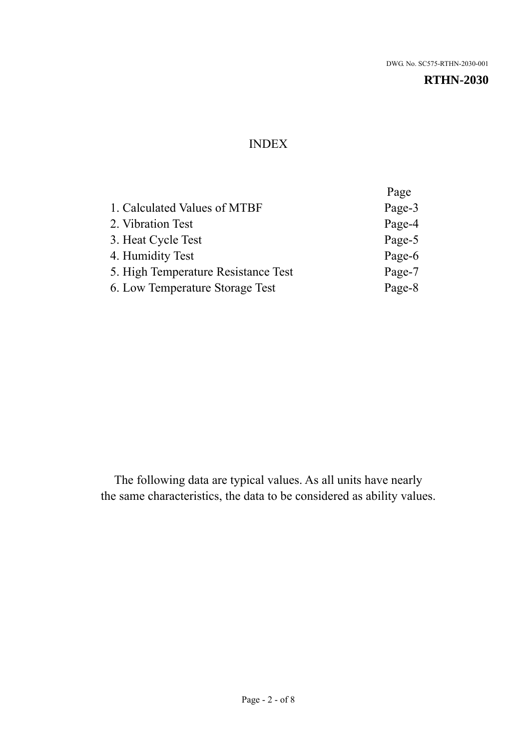#### INDEX

|                                     | Page   |
|-------------------------------------|--------|
| 1. Calculated Values of MTBF        | Page-3 |
| 2. Vibration Test                   | Page-4 |
| 3. Heat Cycle Test                  | Page-5 |
| 4. Humidity Test                    | Page-6 |
| 5. High Temperature Resistance Test | Page-7 |
| 6. Low Temperature Storage Test     | Page-8 |
|                                     |        |

The following data are typical values. As all units have nearly the same characteristics, the data to be considered as ability values.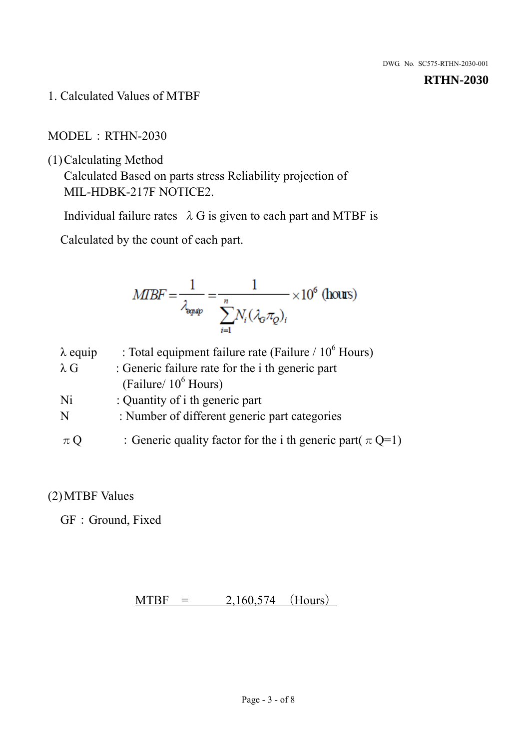1. Calculated Values of MTBF

MODEL:RTHN-2030

(1)Calculating Method

Calculated Based on parts stress Reliability projection of MIL-HDBK-217F NOTICE2.

Individual failure rates  $\lambda$  G is given to each part and MTBF is

Calculated by the count of each part.

$$
MIBF = \frac{1}{\lambda_{\text{expap}}} = \frac{1}{\sum_{i=1}^{n} N_i (\lambda_{\text{G}} \pi_Q)_i} \times 10^6 \text{ (hours)}
$$

| $\lambda$ equip | : Total equipment failure rate (Failure / $10^6$ Hours)         |
|-----------------|-----------------------------------------------------------------|
| $\lambda$ G     | : Generic failure rate for the <i>i</i> th generic part         |
|                 | (Failure/ $10^6$ Hours)                                         |
| Ni              | : Quantity of i th generic part                                 |
| N               | : Number of different generic part categories                   |
| $\pi Q$         | : Generic quality factor for the i th generic part( $\pi Q=1$ ) |

## (2)MTBF Values

GF: Ground, Fixed

 $MTBF = 2,160,574$  (Hours)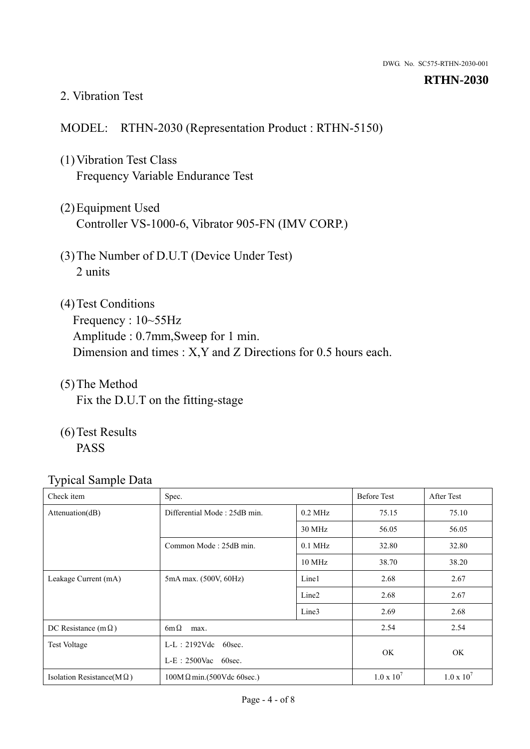#### 2. Vibration Test

#### MODEL: RTHN-2030 (Representation Product : RTHN-5150)

- (1)Vibration Test Class Frequency Variable Endurance Test
- (2)Equipment Used Controller VS-1000-6, Vibrator 905-FN (IMV CORP.)
- (3)The Number of D.U.T (Device Under Test) 2 units
- (4) Test Conditions Frequency : 10~55Hz Amplitude : 0.7mm,Sweep for 1 min. Dimension and times : X,Y and Z Directions for 0.5 hours each.
- (5)The Method Fix the D.U.T on the fitting-stage
- (6)Test Results PASS

| $\sim$ $\blacksquare$             |                                                  |                   |                    |                   |
|-----------------------------------|--------------------------------------------------|-------------------|--------------------|-------------------|
| Check item                        | Spec.                                            |                   | <b>Before Test</b> | After Test        |
| Attenuation(dB)                   | Differential Mode: 25dB min.                     | $0.2$ MHz         | 75.15              | 75.10             |
|                                   |                                                  | 30 MHz            | 56.05              | 56.05             |
|                                   | Common Mode: 25dB min.                           | $0.1$ MHz         | 32.80              | 32.80             |
|                                   |                                                  | $10 \text{ MHz}$  | 38.70              | 38.20             |
| Leakage Current (mA)              | 5mA max. (500V, 60Hz)                            | Line1             | 2.68               | 2.67              |
|                                   |                                                  | Line <sub>2</sub> | 2.68               | 2.67              |
|                                   |                                                  | Line3             | 2.69               | 2.68              |
| DC Resistance (m $\Omega$ )       | $6m\Omega$<br>max.                               |                   |                    | 2.54              |
| <b>Test Voltage</b>               | $L-L$ : 2192Vdc 60sec.<br>$L-E$ : 2500Vac 60sec. |                   |                    |                   |
|                                   |                                                  |                   | OK.                | OK                |
| Isolation Resistance(M $\Omega$ ) | $100M\Omega$ min.(500Vdc 60sec.)                 |                   | $1.0 \times 10^7$  | $1.0 \times 10^7$ |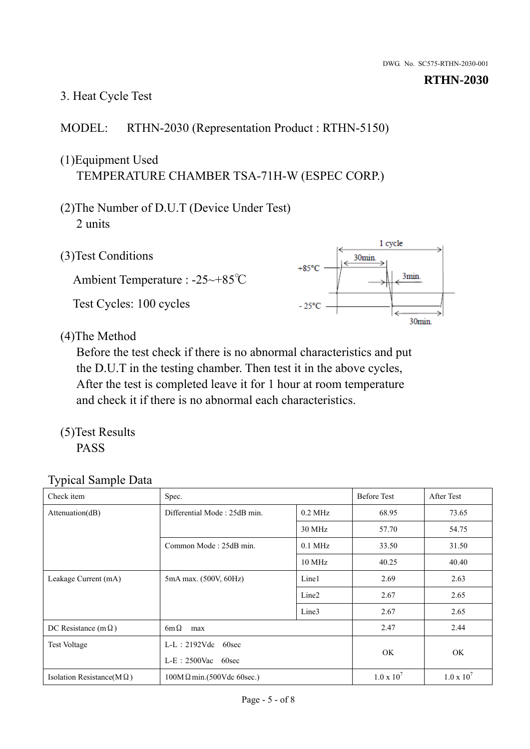# 3. Heat Cycle Test

### MODEL: RTHN-2030 (Representation Product : RTHN-5150)

## (1)Equipment Used TEMPERATURE CHAMBER TSA-71H-W (ESPEC CORP.)

- (2)The Number of D.U.T (Device Under Test) 2 units
- (3)Test Conditions

Ambient Temperature : -25~+85℃ Test Cycles: 100 cycles



(4)The Method

Before the test check if there is no abnormal characteristics and put the D.U.T in the testing chamber. Then test it in the above cycles, After the test is completed leave it for 1 hour at room temperature and check it if there is no abnormal each characteristics.

(5)Test Results PASS

| Check item                        | Spec.                                            |                   | <b>Before Test</b>  | After Test        |
|-----------------------------------|--------------------------------------------------|-------------------|---------------------|-------------------|
| Attenuation(dB)                   | Differential Mode: 25dB min.                     | $0.2$ MHz         | 68.95               | 73.65             |
|                                   |                                                  | 30 MHz            | 57.70               | 54.75             |
|                                   | Common Mode: 25dB min.                           | $0.1$ MHz         | 33.50               | 31.50             |
|                                   |                                                  | 10 MHz            | 40.25               | 40.40             |
| Leakage Current (mA)              | 5mA max. (500V, 60Hz)                            | Line1             | 2.69                | 2.63              |
|                                   |                                                  | Line <sub>2</sub> | 2.67                | 2.65              |
|                                   |                                                  | Line3             | 2.67                | 2.65              |
| DC Resistance (m $\Omega$ )       | $6m\Omega$<br>max                                |                   |                     | 2.44              |
| <b>Test Voltage</b>               | $L-L: 2192Vdc$<br>60sec<br>$L-E$ : 2500Vac 60sec |                   |                     |                   |
|                                   |                                                  |                   | OK.                 | OK                |
| Isolation Resistance( $M\Omega$ ) | $100M\Omega$ min.(500Vdc 60sec.)                 |                   | $1.0 \times 10^{7}$ | $1.0 \times 10^7$ |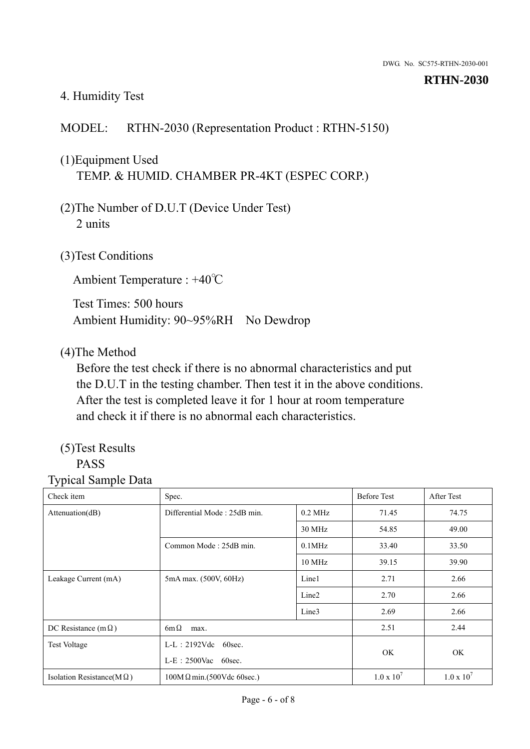#### 4. Humidity Test

## MODEL: RTHN-2030 (Representation Product : RTHN-5150)

# (1)Equipment Used TEMP. & HUMID. CHAMBER PR-4KT (ESPEC CORP.)

- (2)The Number of D.U.T (Device Under Test) 2 units
- (3)Test Conditions

Ambient Temperature : +40℃

Test Times: 500 hours Ambient Humidity: 90~95%RH No Dewdrop

#### (4)The Method

Before the test check if there is no abnormal characteristics and put the D.U.T in the testing chamber. Then test it in the above conditions. After the test is completed leave it for 1 hour at room temperature and check it if there is no abnormal each characteristics.

#### (5)Test Results PASS

| Check item                        | Spec.                                     |                        |                   | <b>After Test</b> |
|-----------------------------------|-------------------------------------------|------------------------|-------------------|-------------------|
| Attenuation(dB)                   | Differential Mode: 25dB min.<br>$0.2$ MHz |                        | 71.45             | 74.75             |
|                                   |                                           | 30 MHz                 | 54.85             | 49.00             |
|                                   | Common Mode: 25dB min.                    | $0.1$ MHz              | 33.40             | 33.50             |
|                                   |                                           | $10$ MHz               | 39.15             | 39.90             |
| Leakage Current (mA)              | 5mA max. (500V, 60Hz)                     | Line1                  | 2.71              | 2.66              |
|                                   |                                           | Line <sub>2</sub>      | 2.70              | 2.66              |
|                                   |                                           | Line3                  | 2.69              | 2.66              |
| DC Resistance (m $\Omega$ )       | $6m\Omega$<br>max.                        |                        |                   | 2.44              |
| <b>Test Voltage</b>               | $L-L: 2192Vdc$<br>60sec.                  | $L-E$ : 2500Vac 60sec. |                   |                   |
|                                   |                                           |                        |                   | <b>OK</b>         |
| Isolation Resistance(M $\Omega$ ) | $100M\Omega$ min.(500Vdc 60sec.)          |                        | $1.0 \times 10^7$ | $1.0 \times 10^7$ |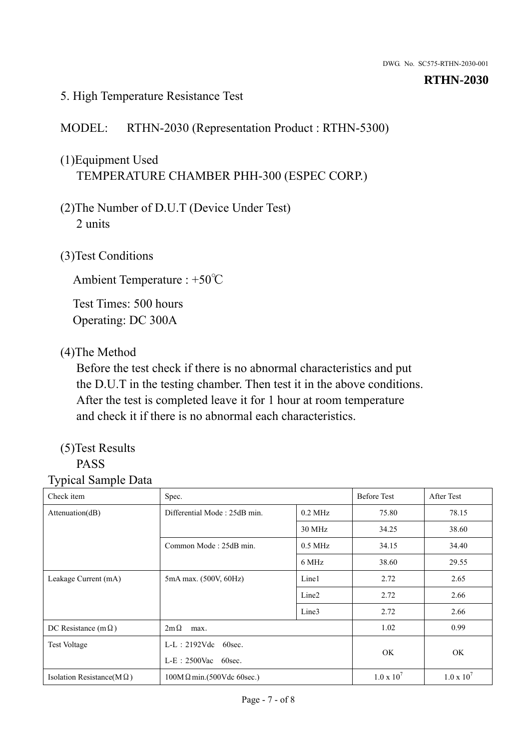#### 5. High Temperature Resistance Test

#### MODEL: RTHN-2030 (Representation Product : RTHN-5300)

# (1)Equipment Used TEMPERATURE CHAMBER PHH-300 (ESPEC CORP.)

- (2)The Number of D.U.T (Device Under Test) 2 units
- (3)Test Conditions

Ambient Temperature : +50℃

Test Times: 500 hours Operating: DC 300A

#### (4)The Method

Before the test check if there is no abnormal characteristics and put the D.U.T in the testing chamber. Then test it in the above conditions. After the test is completed leave it for 1 hour at room temperature and check it if there is no abnormal each characteristics.

#### (5)Test Results PASS

| - 11                              |                                                    |                   |                    |                   |
|-----------------------------------|----------------------------------------------------|-------------------|--------------------|-------------------|
| Check item                        | Spec.                                              |                   | <b>Before Test</b> | After Test        |
| Attenuation(dB)                   | Differential Mode: 25dB min.                       | $0.2$ MHz         | 75.80              | 78.15             |
|                                   |                                                    | 30 MHz            | 34.25              | 38.60             |
|                                   | Common Mode: 25dB min.                             | $0.5$ MHz         | 34.15              | 34.40             |
|                                   |                                                    | 6 MHz             | 38.60              | 29.55             |
| Leakage Current (mA)              | 5mA max. (500V, 60Hz)                              | Line1             | 2.72               | 2.65              |
|                                   |                                                    | Line <sub>2</sub> | 2.72               | 2.66              |
|                                   |                                                    | Line3             | 2.72               | 2.66              |
| DC Resistance (m $\Omega$ )       | $2m\Omega$<br>max.                                 |                   | 1.02               | 0.99              |
| <b>Test Voltage</b>               | $L-L: 2192Vdc$<br>60sec.<br>$L-E$ : 2500Vac 60sec. |                   |                    |                   |
|                                   |                                                    |                   | <b>OK</b>          | OK.               |
| Isolation Resistance(M $\Omega$ ) | $100M \Omega min.(500Vdc 60sec.)$                  |                   | $1.0 \times 10^7$  | $1.0 \times 10^7$ |